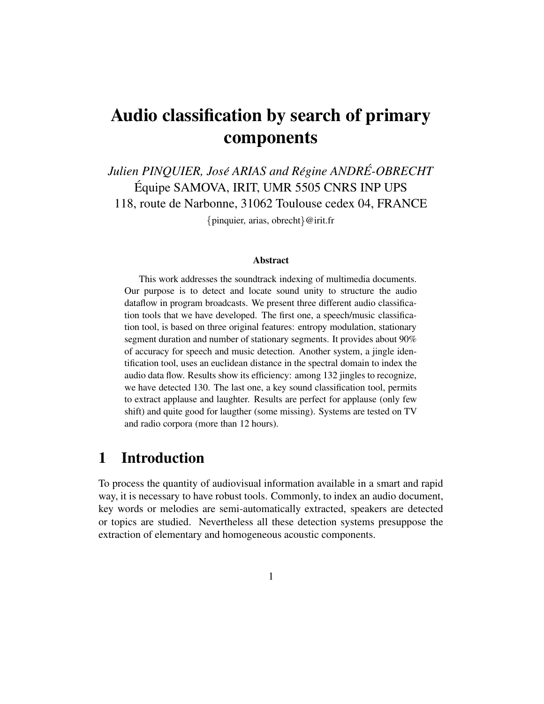# **Audio classification by search of primary components**

*Julien PINQUIER, Jose´ ARIAS and Regine ´ ANDRE-OBRECHT ´* Équipe SAMOVA, IRIT, UMR 5505 CNRS INP UPS 118, route de Narbonne, 31062 Toulouse cedex 04, FRANCE

{pinquier, arias, obrecht}  $@$  irit.fr

#### **Abstract**

This work addresses the soundtrack indexing of multimedia documents. Our purpose is to detect and locate sound unity to structure the audio dataflow in program broadcasts. We present three different audio classification tools that we have developed. The first one, a speech/music classification tool, is based on three original features: entropy modulation, stationary segment duration and number of stationary segments. It provides about 90% of accuracy for speech and music detection. Another system, a jingle identification tool, uses an euclidean distance in the spectral domain to index the audio data flow. Results show its efficiency: among 132 jingles to recognize, we have detected 130. The last one, a key sound classification tool, permits to extract applause and laughter. Results are perfect for applause (only few shift) and quite good for laugther (some missing). Systems are tested on TV and radio corpora (more than 12 hours).

## **1 Introduction**

To process the quantity of audiovisual information available in a smart and rapid way, it is necessary to have robust tools. Commonly, to index an audio document, key words or melodies are semi-automatically extracted, speakers are detected or topics are studied. Nevertheless all these detection systems presuppose the extraction of elementary and homogeneous acoustic components.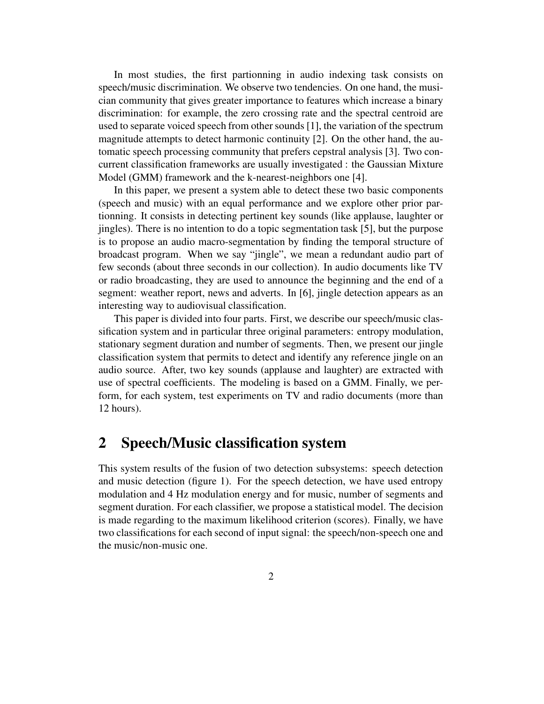In most studies, the first partionning in audio indexing task consists on speech/music discrimination. We observe two tendencies. On one hand, the musician community that gives greater importance to features which increase a binary discrimination: for example, the zero crossing rate and the spectral centroid are used to separate voiced speech from other sounds  $[1]$ , the variation of the spectrum magnitude attempts to detect harmonic continuity [2]. On the other hand, the automatic speech processing community that prefers cepstral analysis [3]. Two concurrent classification frameworks are usually investigated : the Gaussian Mixture Model (GMM) framework and the k-nearest-neighbors one [4].

In this paper, we present a system able to detect these two basic components (speech and music) with an equal performance and we explore other prior partionning. It consists in detecting pertinent key sounds (like applause, laughter or jingles). There is no intention to do a topic segmentation task [5], but the purpose is to propose an audio macro-segmentation by finding the temporal structure of broadcast program. When we say "jingle", we mean a redundant audio part of few seconds (about three seconds in our collection). In audio documents like TV or radio broadcasting, they are used to announce the beginning and the end of a segment: weather report, news and adverts. In [6], jingle detection appears as an interesting way to audiovisual classification.

This paper is divided into four parts. First, we describe our speech/music classification system and in particular three original parameters: entropy modulation, stationary segment duration and number of segments. Then, we present our jingle classification system that permits to detect and identify any reference jingle on an audio source. After, two key sounds (applause and laughter) are extracted with use of spectral coefficients. The modeling is based on a GMM. Finally, we perform, for each system, test experiments on TV and radio documents (more than 12 hours).

### **2 Speech/Music classification system**

This system results of the fusion of two detection subsystems: speech detection and music detection (figure 1). For the speech detection, we have used entropy modulation and 4 Hz modulation energy and for music, number of segments and segment duration. For each classifier, we propose a statistical model. The decision is made regarding to the maximum likelihood criterion (scores). Finally, we have two classifications for each second of input signal: the speech/non-speech one and the music/non-music one.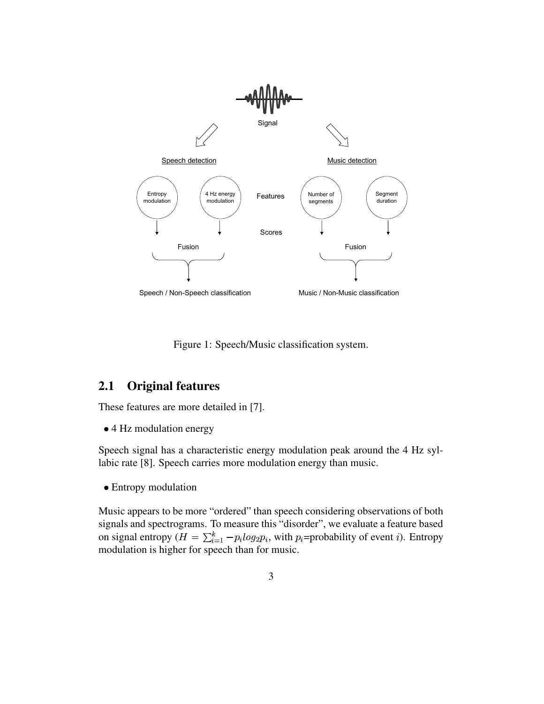

Figure 1: Speech/Music classification system.

### **2.1 Original features**

These features are more detailed in [7].

• 4 Hz modulation energy

Speech signal has a characteristic energy modulation peak around the 4 Hz syllabic rate [8]. Speech carries more modulation energy than music.

• Entropy modulation

Music appears to be more "ordered" than speech considering observations of both signals and spectrograms. To measure this "disorder", we evaluate a feature based on signal entropy ( $H = \sum_{i=1}^{k} -p_i log_2 p_i$ , with  $p_i$ =probability of event *i*). Entropy modulation is higher for speech than for music.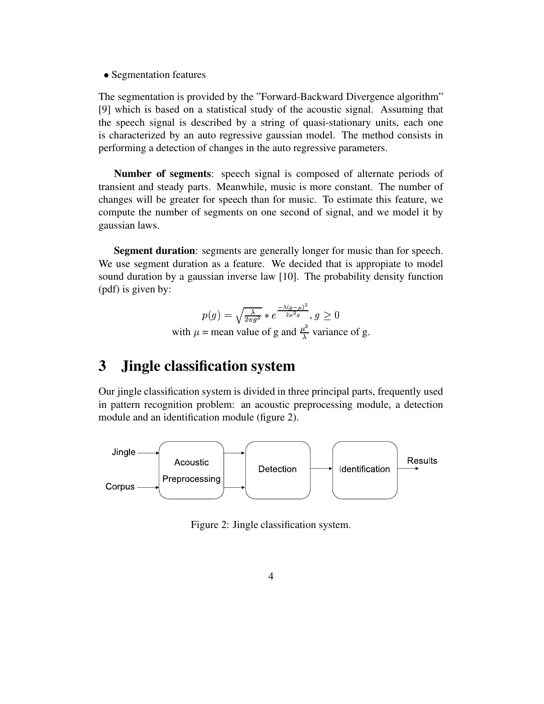• Segmentation features

The segmentation is provided by the "Forward-Backward Divergence algorithm" [9] which is based on a statistical study of the acoustic signal. Assuming that the speech signal is described by a string of quasi-stationary units, each one is characterized by an auto regressive gaussian model. The method consists in performing a detection of changes in the auto regressive parameters.

**Number of segments**: speech signal is composed of alternate periods of transient and steady parts. Meanwhile, music is more constant. The number of changes will be greater for speech than for music. To estimate this feature, we compute the number of segments on one second of signal, and we model it by gaussian laws.

**Segment duration**: segments are generally longer for music than for speech. We use segment duration as a feature. We decided that is appropiate to model sound duration by a gaussian inverse law [10]. The probability density function (pdf) is given by:

$$
p(g) = \sqrt{\frac{\lambda}{2\pi g^3}} * e^{\frac{-\lambda(g-\mu)^2}{2\mu^2 g}}, g \ge 0
$$
  
with  $\mu$  = mean value of g and  $\frac{\mu^3}{\lambda}$  variance of g.

### **3 Jingle classification system**

Our jingle classification system is divided in three principal parts, frequently used in pattern recognition problem: an acoustic preprocessing module, a detection module and an identification module (figure 2).



Figure 2: Jingle classification system.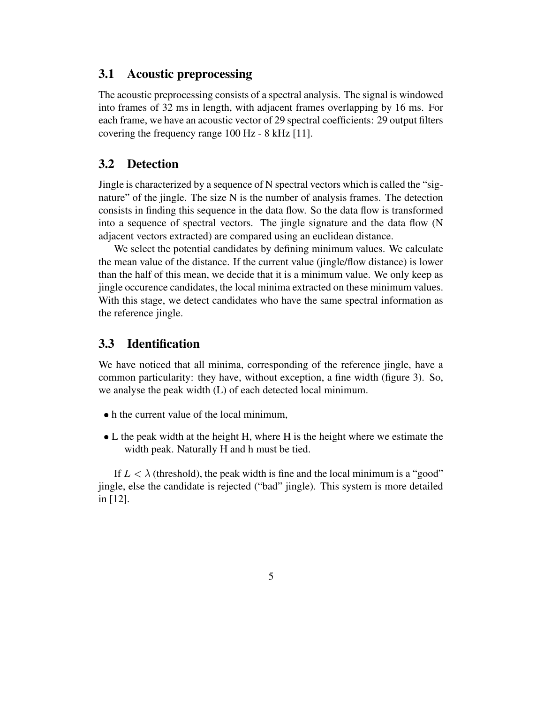#### **3.1 Acoustic preprocessing**

The acoustic preprocessing consists of a spectral analysis. The signal is windowed into frames of 32 ms in length, with adjacent frames overlapping by 16 ms. For each frame, we have an acoustic vector of 29 spectral coefficients: 29 output filters covering the frequency range 100 Hz - 8 kHz [11].

#### **3.2 Detection**

Jingle is characterized by a sequence of N spectral vectors which is called the "signature" of the jingle. The size N is the number of analysis frames. The detection consists in finding this sequence in the data flow. So the data flow is transformed into a sequence of spectral vectors. The jingle signature and the data flow (N adjacent vectors extracted) are compared using an euclidean distance.

We select the potential candidates by defining minimum values. We calculate the mean value of the distance. If the current value (jingle/flow distance) is lower than the half of this mean, we decide that it is a minimum value. We only keep as jingle occurence candidates, the local minima extracted on these minimum values. With this stage, we detect candidates who have the same spectral information as the reference jingle.

#### **3.3 Identification**

We have noticed that all minima, corresponding of the reference jingle, have a common particularity: they have, without exception, a fine width (figure 3). So, we analyse the peak width (L) of each detected local minimum.

- h the current value of the local minimum,
- L the peak width at the height H, where H is the height where we estimate the width peak. Naturally H and h must be tied.

If  $L < \lambda$  (threshold), the peak width is fine and the local minimum is a "good" jingle, else the candidate is rejected ("bad" jingle). This system is more detailed in [12].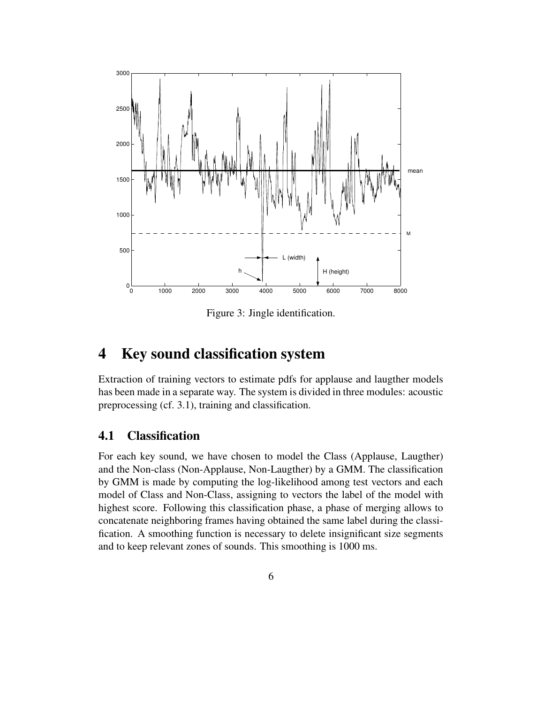

Figure 3: Jingle identification.

### **4 Key sound classification system**

Extraction of training vectors to estimate pdfs for applause and laugther models has been made in a separate way. The system is divided in three modules: acoustic preprocessing (cf. 3.1), training and classification.

### **4.1 Classification**

For each key sound, we have chosen to model the Class (Applause, Laugther) and the Non-class (Non-Applause, Non-Laugther) by a GMM. The classification by GMM is made by computing the log-likelihood among test vectors and each model of Class and Non-Class, assigning to vectors the label of the model with highest score. Following this classification phase, a phase of merging allows to concatenate neighboring frames having obtained the same label during the classification. A smoothing function is necessary to delete insignificant size segments and to keep relevant zones of sounds. This smoothing is 1000 ms.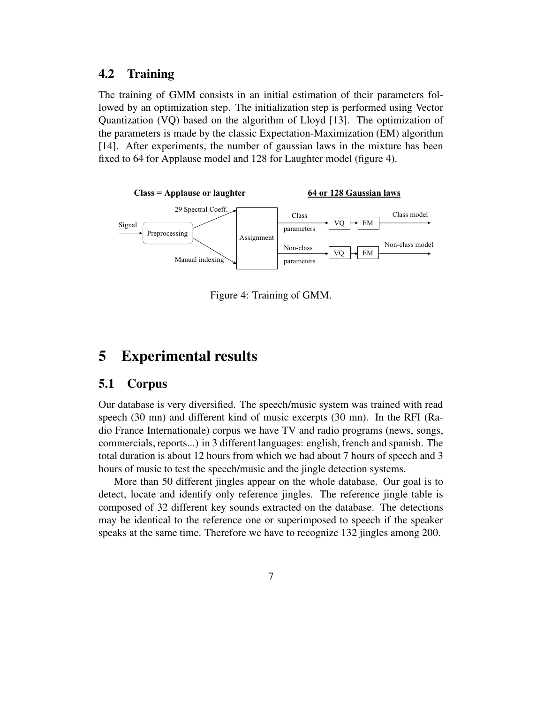#### **4.2 Training**

The training of GMM consists in an initial estimation of their parameters followed by an optimization step. The initialization step is performed using Vector Quantization (VQ) based on the algorithm of Lloyd [13]. The optimization of the parameters is made by the classic Expectation-Maximization (EM) algorithm [14]. After experiments, the number of gaussian laws in the mixture has been fixed to 64 for Applause model and 128 for Laughter model (figure 4).



Figure 4: Training of GMM.

### **5 Experimental results**

#### **5.1 Corpus**

Our database is very diversified. The speech/music system was trained with read speech (30 mn) and different kind of music excerpts (30 mn). In the RFI (Radio France Internationale) corpus we have TV and radio programs (news, songs, commercials, reports...) in 3 different languages: english, french and spanish. The total duration is about 12 hours from which we had about 7 hours of speech and 3 hours of music to test the speech/music and the jingle detection systems.

More than 50 different jingles appear on the whole database. Our goal is to detect, locate and identify only reference jingles. The reference jingle table is composed of 32 different key sounds extracted on the database. The detections may be identical to the reference one or superimposed to speech if the speaker speaks at the same time. Therefore we have to recognize 132 jingles among 200.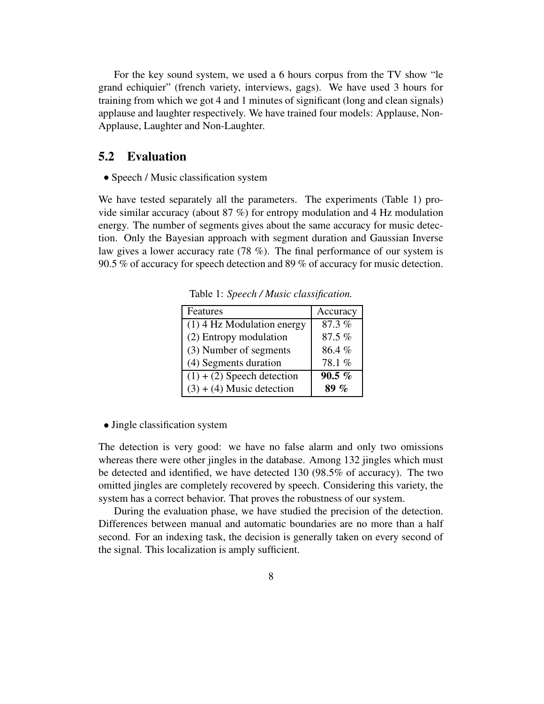For the key sound system, we used a 6 hours corpus from the TV show "le grand echiquier" (french variety, interviews, gags). We have used 3 hours for training from which we got 4 and 1 minutes of significant (long and clean signals) applause and laughter respectively. We have trained four models: Applause, Non-Applause, Laughter and Non-Laughter.

#### **5.2 Evaluation**

• Speech / Music classification system

We have tested separately all the parameters. The experiments (Table 1) provide similar accuracy (about 87 %) for entropy modulation and 4 Hz modulation energy. The number of segments gives about the same accuracy for music detection. Only the Bayesian approach with segment duration and Gaussian Inverse law gives a lower accuracy rate (78 %). The final performance of our system is 90.5 % of accuracy for speech detection and 89 % of accuracy for music detection.

| Features                     | Accuracy       |
|------------------------------|----------------|
| $(1)$ 4 Hz Modulation energy | 87.3%          |
| (2) Entropy modulation       | 87.5%          |
| (3) Number of segments       | 86.4%          |
| (4) Segments duration        | 78.1%          |
| $(1) + (2)$ Speech detection | $90.5\%$       |
| $(3) + (4)$ Music detection  | $\mathcal{O}'$ |

Table 1: *Speech / Music classification.*

- Jingle classification system

The detection is very good: we have no false alarm and only two omissions whereas there were other jingles in the database. Among 132 jingles which must be detected and identified, we have detected 130 (98.5% of accuracy). The two omitted jingles are completely recovered by speech. Considering this variety, the system has a correct behavior. That proves the robustness of our system.

During the evaluation phase, we have studied the precision of the detection. Differences between manual and automatic boundaries are no more than a half second. For an indexing task, the decision is generally taken on every second of the signal. This localization is amply sufficient.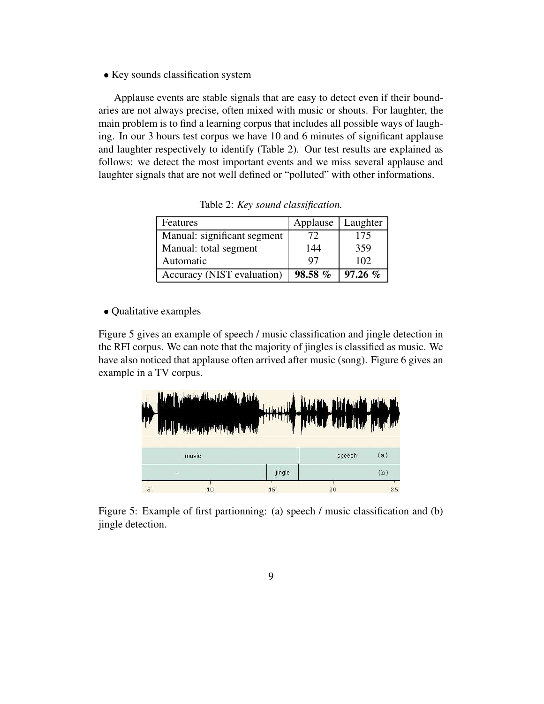• Key sounds classification system

Applause events are stable signals that are easy to detect even if their boundaries are not always precise, often mixed with music or shouts. For laughter, the main problem is to find a learning corpus that includes all possible ways of laughing. In our 3 hours test corpus we have 10 and 6 minutes of significant applause and laughter respectively to identify (Table 2). Our test results are explained as follows: we detect the most important events and we miss several applause and laughter signals that are not well defined or "polluted" with other informations.

| Features                    | Applause   Laughter |            |
|-----------------------------|---------------------|------------|
| Manual: significant segment | 72                  | 175        |
| Manual: total segment       | 144                 | 359        |
| Automatic                   | 97                  | 102        |
| Accuracy (NIST evaluation)  | $98.58\%$           | $97.26 \%$ |

Table 2: *Key sound classification.*

- Qualitative examples

Figure 5 gives an example of speech / music classification and jingle detection in the RFI corpus. We can note that the majority of jingles is classified as music. We have also noticed that applause often arrived after music (song). Figure 6 gives an example in a TV corpus.

|   | الىرى ئەراپلىشى بىلەن بىلەن بىلەن بىلەن ئەرەبىيەت ئايالىن ئەرەب بىلەن ئەرەب بىلەن ئەرەب بىلەن ئەرەب بىلەن ئەرە<br>ئايالى | HAN HILEN PER<br>$\mathbf{u}$ |        |     |  |
|---|--------------------------------------------------------------------------------------------------------------------------|-------------------------------|--------|-----|--|
|   | and the company of the company of the second                                                                             | واللايمانياتها                |        |     |  |
|   | music                                                                                                                    |                               | speech | (a) |  |
|   |                                                                                                                          | jingle                        |        | (b) |  |
| 5 | 10                                                                                                                       | 15                            | 20     | 25  |  |

Figure 5: Example of first partionning: (a) speech / music classification and (b) jingle detection.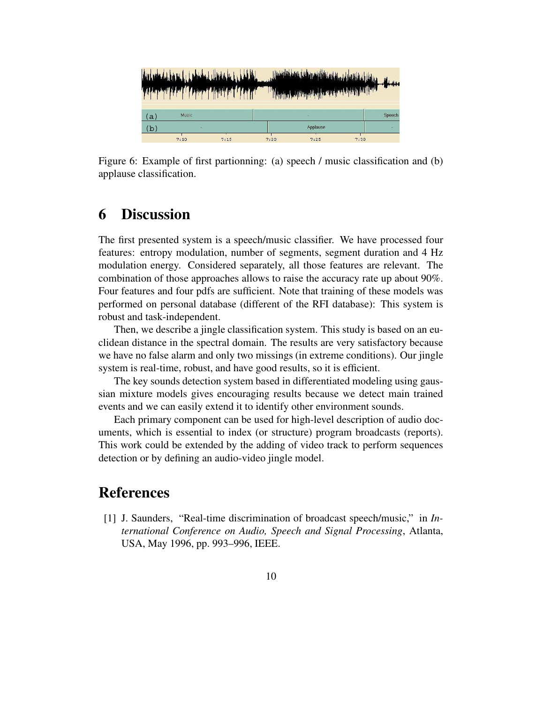|     |              | <u> Arlandsbruck i rendstallmander i debilde</u><br>أرزوا أبأن انترز أزوون وأأركنك لترخصان |      | All Color Party Law and All Color Law and Color Party of Party and |      |        |
|-----|--------------|--------------------------------------------------------------------------------------------|------|--------------------------------------------------------------------|------|--------|
| (a) | <b>Music</b> |                                                                                            |      | u                                                                  |      | Speech |
| (b  |              |                                                                                            |      | Applause                                                           |      |        |
|     | 7:10         | 7:15                                                                                       | 7:20 | 7:25                                                               | 7:30 |        |

Figure 6: Example of first partionning: (a) speech / music classification and (b) applause classification.

### **6 Discussion**

The first presented system is a speech/music classifier. We have processed four features: entropy modulation, number of segments, segment duration and 4 Hz modulation energy. Considered separately, all those features are relevant. The combination of those approaches allows to raise the accuracy rate up about 90%. Four features and four pdfs are sufficient. Note that training of these models was performed on personal database (different of the RFI database): This system is robust and task-independent.

Then, we describe a jingle classification system. This study is based on an euclidean distance in the spectral domain. The results are very satisfactory because we have no false alarm and only two missings (in extreme conditions). Our jingle system is real-time, robust, and have good results, so it is efficient.

The key sounds detection system based in differentiated modeling using gaussian mixture models gives encouraging results because we detect main trained events and we can easily extend it to identify other environment sounds.

Each primary component can be used for high-level description of audio documents, which is essential to index (or structure) program broadcasts (reports). This work could be extended by the adding of video track to perform sequences detection or by defining an audio-video jingle model.

### **References**

[1] J. Saunders, "Real-time discrimination of broadcast speech/music," in *International Conference on Audio, Speech and Signal Processing*, Atlanta, USA, May 1996, pp. 993–996, IEEE.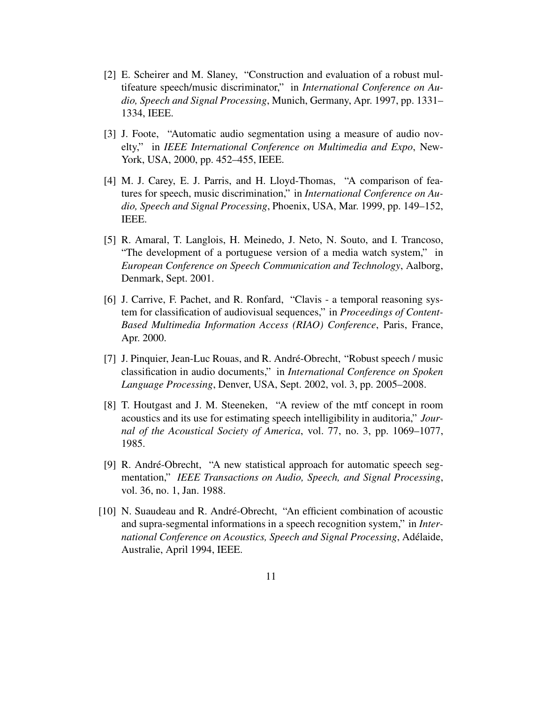- [2] E. Scheirer and M. Slaney, "Construction and evaluation of a robust multifeature speech/music discriminator," in *International Conference on Audio, Speech and Signal Processing*, Munich, Germany, Apr. 1997, pp. 1331– 1334, IEEE.
- [3] J. Foote, "Automatic audio segmentation using a measure of audio novelty," in *IEEE International Conference on Multimedia and Expo*, New-York, USA, 2000, pp. 452–455, IEEE.
- [4] M. J. Carey, E. J. Parris, and H. Lloyd-Thomas, "A comparison of features for speech, music discrimination," in *International Conference on Audio, Speech and Signal Processing*, Phoenix, USA, Mar. 1999, pp. 149–152, IEEE.
- [5] R. Amaral, T. Langlois, H. Meinedo, J. Neto, N. Souto, and I. Trancoso, "The development of a portuguese version of a media watch system," in *European Conference on Speech Communication and Technology*, Aalborg, Denmark, Sept. 2001.
- [6] J. Carrive, F. Pachet, and R. Ronfard, "Clavis a temporal reasoning system for classification of audiovisual sequences," in *Proceedings of Content-Based Multimedia Information Access (RIAO) Conference*, Paris, France, Apr. 2000.
- [7] J. Pinquier, Jean-Luc Rouas, and R. André-Obrecht, "Robust speech / music classification in audio documents," in *International Conference on Spoken Language Processing*, Denver, USA, Sept. 2002, vol. 3, pp. 2005–2008.
- [8] T. Houtgast and J. M. Steeneken, "A review of the mtf concept in room acoustics and its use for estimating speech intelligibility in auditoria," *Journal of the Acoustical Society of America*, vol. 77, no. 3, pp. 1069–1077, 1985.
- [9] R. André-Obrecht, "A new statistical approach for automatic speech segmentation," *IEEE Transactions on Audio, Speech, and Signal Processing*, vol. 36, no. 1, Jan. 1988.
- [10] N. Suaudeau and R. André-Obrecht, "An efficient combination of acoustic and supra-segmental informations in a speech recognition system," in *International Conference on Acoustics, Speech and Signal Processing*, Adelaide, ´ Australie, April 1994, IEEE.